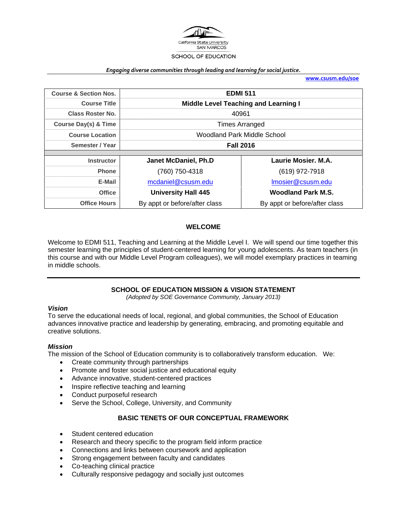

#### *Engaging diverse communities through leading and learning for social justice.*

**www.csusm.edu/soe**

| <b>Course &amp; Section Nos.</b> | <b>EDMI 511</b>                             |                               |  |  |
|----------------------------------|---------------------------------------------|-------------------------------|--|--|
| <b>Course Title</b>              | <b>Middle Level Teaching and Learning I</b> |                               |  |  |
| <b>Class Roster No.</b>          | 40961                                       |                               |  |  |
| <b>Course Day(s) &amp; Time</b>  | <b>Times Arranged</b>                       |                               |  |  |
| <b>Course Location</b>           | Woodland Park Middle School                 |                               |  |  |
| Semester / Year                  | <b>Fall 2016</b>                            |                               |  |  |
|                                  |                                             |                               |  |  |
| <b>Instructor</b>                | <b>Janet McDaniel, Ph.D</b>                 | Laurie Mosier, M.A.           |  |  |
| <b>Phone</b>                     | (760) 750-4318                              | (619) 972-7918                |  |  |
| E-Mail                           | mcdaniel@csusm.edu                          | Imosier@csusm.edu             |  |  |
| <b>Office</b>                    | <b>University Hall 445</b>                  | <b>Woodland Park M.S.</b>     |  |  |
| <b>Office Hours</b>              | By appt or before/after class               | By appt or before/after class |  |  |

### **WELCOME**

Welcome to EDMI 511, Teaching and Learning at the Middle Level I. We will spend our time together this semester learning the principles of student-centered learning for young adolescents. As team teachers (in this course and with our Middle Level Program colleagues), we will model exemplary practices in teaming in middle schools.

# **SCHOOL OF EDUCATION MISSION & VISION STATEMENT**

*(Adopted by SOE Governance Community, January 2013)* 

#### *Vision*

To serve the educational needs of local, regional, and global communities, the School of Education advances innovative practice and leadership by generating, embracing, and promoting equitable and creative solutions.

#### *Mission*

The mission of the School of Education community is to collaboratively transform education. We:

- Create community through partnerships
- Promote and foster social justice and educational equity
- Advance innovative, student-centered practices
- Inspire reflective teaching and learning
- Conduct purposeful research
- Serve the School, College, University, and Community

### **BASIC TENETS OF OUR CONCEPTUAL FRAMEWORK**

- Student centered education
- Research and theory specific to the program field inform practice
- Connections and links between coursework and application
- Strong engagement between faculty and candidates
- Co-teaching clinical practice
- Culturally responsive pedagogy and socially just outcomes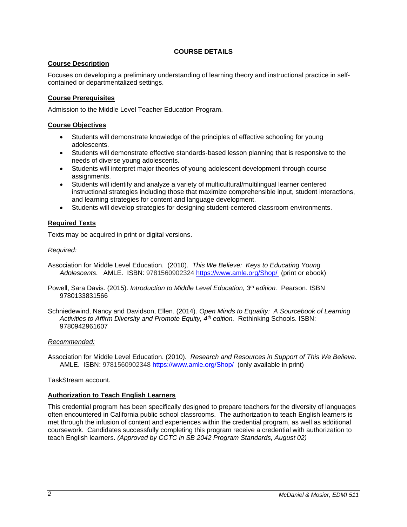# **COURSE DETAILS**

# **Course Description**

Focuses on developing a preliminary understanding of learning theory and instructional practice in selfcontained or departmentalized settings.

# **Course Prerequisites**

Admission to the Middle Level Teacher Education Program.

# **Course Objectives**

- Students will demonstrate knowledge of the principles of effective schooling for young adolescents.
- Students will demonstrate effective standards-based lesson planning that is responsive to the needs of diverse young adolescents.
- Students will interpret major theories of young adolescent development through course assignments.
- Students will identify and analyze a variety of multicultural/multilingual learner centered instructional strategies including those that maximize comprehensible input, student interactions, and learning strategies for content and language development.
- Students will develop strategies for designing student-centered classroom environments.

# **Required Texts**

Texts may be acquired in print or digital versions.

### *Required:*

- Association for Middle Level Education. (2010). *This We Believe: Keys to Educating Young Adolescents*. AMLE. ISBN: 9781560902324 https://www.amle.org/Shop/ (print or ebook)
- Powell, Sara Davis. (2015). *Introduction to Middle Level Education, 3rd edition.* Pearson. ISBN 9780133831566
- Schniedewind, Nancy and Davidson, Ellen. (2014). *Open Minds to Equality: A Sourcebook of Learning Activities to Affirm Diversity and Promote Equity, 4th edition.* Rethinking Schools. ISBN: 9780942961607

### *Recommended:*

Association for Middle Level Education. (2010). *Research and Resources in Support of This We Believe.* AMLE. ISBN: 9781560902348 https://www.amle.org/Shop/ (only available in print)

#### TaskStream account.

### **Authorization to Teach English Learners**

This credential program has been specifically designed to prepare teachers for the diversity of languages often encountered in California public school classrooms. The authorization to teach English learners is met through the infusion of content and experiences within the credential program, as well as additional coursework. Candidates successfully completing this program receive a credential with authorization to teach English learners. *(Approved by CCTC in SB 2042 Program Standards, August 02)*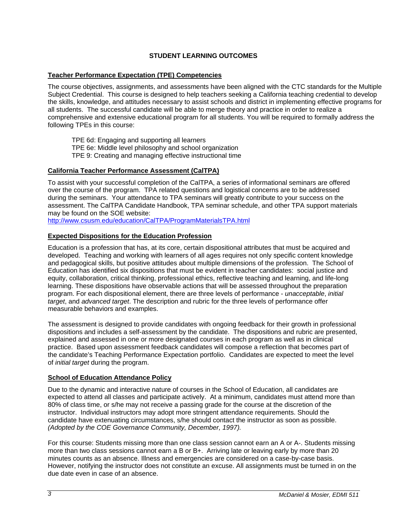# **STUDENT LEARNING OUTCOMES**

# **Teacher Performance Expectation (TPE) Competencies**

The course objectives, assignments, and assessments have been aligned with the CTC standards for the Multiple Subject Credential. This course is designed to help teachers seeking a California teaching credential to develop the skills, knowledge, and attitudes necessary to assist schools and district in implementing effective programs for all students. The successful candidate will be able to merge theory and practice in order to realize a comprehensive and extensive educational program for all students. You will be required to formally address the following TPEs in this course:

TPE 6d: Engaging and supporting all learners

- TPE 6e: Middle level philosophy and school organization
- TPE 9: Creating and managing effective instructional time

# **California Teacher Performance Assessment (CalTPA)**

To assist with your successful completion of the CalTPA, a series of informational seminars are offered over the course of the program. TPA related questions and logistical concerns are to be addressed during the seminars. Your attendance to TPA seminars will greatly contribute to your success on the assessment. The CalTPA Candidate Handbook, TPA seminar schedule, and other TPA support materials may be found on the SOE website:

http://www.csusm.edu/education/CalTPA/ProgramMaterialsTPA.html

### **Expected Dispositions for the Education Profession**

Education is a profession that has, at its core, certain dispositional attributes that must be acquired and developed. Teaching and working with learners of all ages requires not only specific content knowledge and pedagogical skills, but positive attitudes about multiple dimensions of the profession. The School of Education has identified six dispositions that must be evident in teacher candidates: social justice and equity, collaboration, critical thinking, professional ethics, reflective teaching and learning, and life-long learning. These dispositions have observable actions that will be assessed throughout the preparation program. For each dispositional element, there are three levels of performance - *unacceptable*, *initial target*, and *advanced target*. The description and rubric for the three levels of performance offer measurable behaviors and examples.

The assessment is designed to provide candidates with ongoing feedback for their growth in professional dispositions and includes a self-assessment by the candidate. The dispositions and rubric are presented, explained and assessed in one or more designated courses in each program as well as in clinical practice. Based upon assessment feedback candidates will compose a reflection that becomes part of the candidate's Teaching Performance Expectation portfolio. Candidates are expected to meet the level of *initial target* during the program.

### **School of Education Attendance Policy**

Due to the dynamic and interactive nature of courses in the School of Education, all candidates are expected to attend all classes and participate actively. At a minimum, candidates must attend more than 80% of class time, or s/he may not receive a passing grade for the course at the discretion of the instructor. Individual instructors may adopt more stringent attendance requirements. Should the candidate have extenuating circumstances, s/he should contact the instructor as soon as possible. *(Adopted by the COE Governance Community, December, 1997).*

For this course: Students missing more than one class session cannot earn an A or A-. Students missing more than two class sessions cannot earn a B or B+. Arriving late or leaving early by more than 20 minutes counts as an absence. Illness and emergencies are considered on a case-by-case basis. However, notifying the instructor does not constitute an excuse. All assignments must be turned in on the due date even in case of an absence.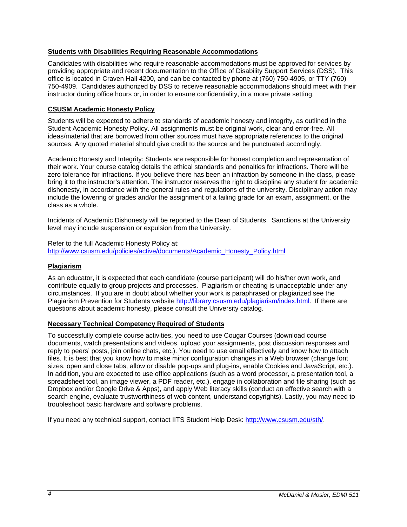### **Students with Disabilities Requiring Reasonable Accommodations**

Candidates with disabilities who require reasonable accommodations must be approved for services by providing appropriate and recent documentation to the Office of Disability Support Services (DSS). This office is located in Craven Hall 4200, and can be contacted by phone at (760) 750-4905, or TTY (760) 750-4909. Candidates authorized by DSS to receive reasonable accommodations should meet with their instructor during office hours or, in order to ensure confidentiality, in a more private setting.

# **CSUSM Academic Honesty Policy**

Students will be expected to adhere to standards of academic honesty and integrity, as outlined in the Student Academic Honesty Policy. All assignments must be original work, clear and error-free. All ideas/material that are borrowed from other sources must have appropriate references to the original sources. Any quoted material should give credit to the source and be punctuated accordingly.

Academic Honesty and Integrity: Students are responsible for honest completion and representation of their work. Your course catalog details the ethical standards and penalties for infractions. There will be zero tolerance for infractions. If you believe there has been an infraction by someone in the class, please bring it to the instructor's attention. The instructor reserves the right to discipline any student for academic dishonesty, in accordance with the general rules and regulations of the university. Disciplinary action may include the lowering of grades and/or the assignment of a failing grade for an exam, assignment, or the class as a whole.

Incidents of Academic Dishonesty will be reported to the Dean of Students. Sanctions at the University level may include suspension or expulsion from the University.

Refer to the full Academic Honesty Policy at: http://www.csusm.edu/policies/active/documents/Academic\_Honesty\_Policy.html

### **Plagiarism**

As an educator, it is expected that each candidate (course participant) will do his/her own work, and contribute equally to group projects and processes. Plagiarism or cheating is unacceptable under any circumstances. If you are in doubt about whether your work is paraphrased or plagiarized see the Plagiarism Prevention for Students website http://library.csusm.edu/plagiarism/index.html. If there are questions about academic honesty, please consult the University catalog.

### **Necessary Technical Competency Required of Students**

To successfully complete course activities, you need to use Cougar Courses (download course documents, watch presentations and videos, upload your assignments, post discussion responses and reply to peers' posts, join online chats, etc.). You need to use email effectively and know how to attach files. It is best that you know how to make minor configuration changes in a Web browser (change font sizes, open and close tabs, allow or disable pop-ups and plug-ins, enable Cookies and JavaScript, etc.). In addition, you are expected to use office applications (such as a word processor, a presentation tool, a spreadsheet tool, an image viewer, a PDF reader, etc.), engage in collaboration and file sharing (such as Dropbox and/or Google Drive & Apps), and apply Web literacy skills (conduct an effective search with a search engine, evaluate trustworthiness of web content, understand copyrights). Lastly, you may need to troubleshoot basic hardware and software problems.

If you need any technical support, contact IITS Student Help Desk: http://www.csusm.edu/sth/.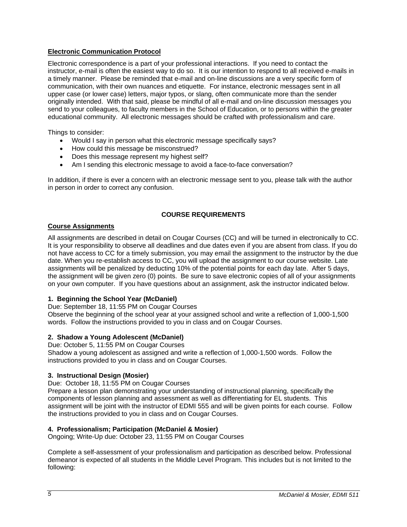# **Electronic Communication Protocol**

Electronic correspondence is a part of your professional interactions. If you need to contact the instructor, e-mail is often the easiest way to do so. It is our intention to respond to all received e-mails in a timely manner. Please be reminded that e-mail and on-line discussions are a very specific form of communication, with their own nuances and etiquette. For instance, electronic messages sent in all upper case (or lower case) letters, major typos, or slang, often communicate more than the sender originally intended. With that said, please be mindful of all e-mail and on-line discussion messages you send to your colleagues, to faculty members in the School of Education, or to persons within the greater educational community. All electronic messages should be crafted with professionalism and care.

Things to consider:

- Would I say in person what this electronic message specifically says?
- How could this message be misconstrued?
- Does this message represent my highest self?
- Am I sending this electronic message to avoid a face-to-face conversation?

In addition, if there is ever a concern with an electronic message sent to you, please talk with the author in person in order to correct any confusion.

#### **COURSE REQUIREMENTS**

#### **Course Assignments**

All assignments are described in detail on Cougar Courses (CC) and will be turned in electronically to CC. It is your responsibility to observe all deadlines and due dates even if you are absent from class. If you do not have access to CC for a timely submission, you may email the assignment to the instructor by the due date. When you re-establish access to CC, you will upload the assignment to our course website. Late assignments will be penalized by deducting 10% of the potential points for each day late. After 5 days, the assignment will be given zero (0) points. Be sure to save electronic copies of all of your assignments on your own computer. If you have questions about an assignment, ask the instructor indicated below.

### **1. Beginning the School Year (McDaniel)**

Due: September 18, 11:55 PM on Cougar Courses

Observe the beginning of the school year at your assigned school and write a reflection of 1,000-1,500 words. Follow the instructions provided to you in class and on Cougar Courses.

#### **2. Shadow a Young Adolescent (McDaniel)**

Due: October 5, 11:55 PM on Cougar Courses Shadow a young adolescent as assigned and write a reflection of 1,000-1,500 words. Follow the instructions provided to you in class and on Cougar Courses.

#### **3. Instructional Design (Mosier)**

Due: October 18, 11:55 PM on Cougar Courses

Prepare a lesson plan demonstrating your understanding of instructional planning, specifically the components of lesson planning and assessment as well as differentiating for EL students. This assignment will be joint with the instructor of EDMI 555 and will be given points for each course. Follow the instructions provided to you in class and on Cougar Courses.

#### **4. Professionalism; Participation (McDaniel & Mosier)**

Ongoing; Write-Up due: October 23, 11:55 PM on Cougar Courses

Complete a self-assessment of your professionalism and participation as described below. Professional demeanor is expected of all students in the Middle Level Program. This includes but is not limited to the following: